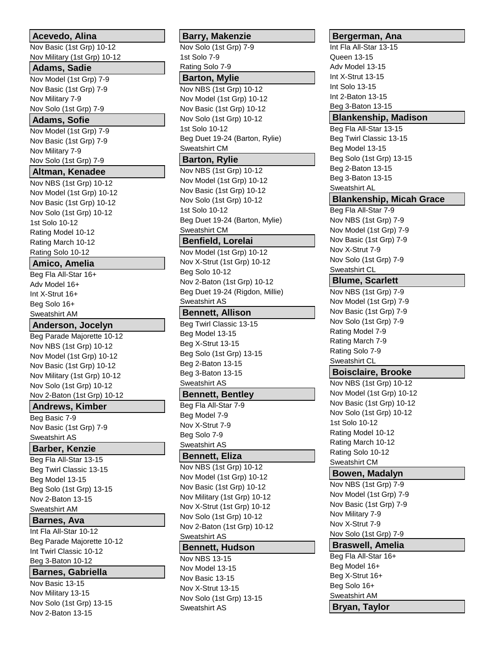# **Acevedo, Alina**

Nov Basic (1st Grp) 10-12 Nov Military (1st Grp) 10-12

# **Adams, Sadie**

Nov Model (1st Grp) 7-9 Nov Basic (1st Grp) 7-9 Nov Military 7-9 Nov Solo (1st Grp) 7-9

### **Adams, Sofie**

Nov Model (1st Grp) 7-9 Nov Basic (1st Grp) 7-9 Nov Military 7-9 Nov Solo (1st Grp) 7-9

# **Altman, Kenadee**

Nov NBS (1st Grp) 10-12 Nov Model (1st Grp) 10-12 Nov Basic (1st Grp) 10-12 Nov Solo (1st Grp) 10-12 1st Solo 10-12 Rating Model 10-12 Rating March 10-12 Rating Solo 10-12

# **Amico, Amelia**

Beg Fla All-Star 16+ Adv Model 16+ Int X-Strut 16+ Beg Solo 16+ Sweatshirt AM

#### **Anderson, Jocelyn**

Beg Parade Majorette 10-12 Nov NBS (1st Grp) 10-12 Nov Model (1st Grp) 10-12 Nov Basic (1st Grp) 10-12 Nov Military (1st Grp) 10-12 Nov Solo (1st Grp) 10-12 Nov 2-Baton (1st Grp) 10-12

# **Andrews, Kimber**

Beg Basic 7-9 Nov Basic (1st Grp) 7-9 Sweatshirt AS

# **Barber, Kenzie**

Beg Fla All-Star 13-15 Beg Twirl Classic 13-15 Beg Model 13-15 Beg Solo (1st Grp) 13-15 Nov 2-Baton 13-15 Sweatshirt AM

### **Barnes, Ava**

Int Fla All-Star 10-12 Beg Parade Majorette 10-12 Int Twirl Classic 10-12 Beg 3-Baton 10-12

### **Barnes, Gabriella**

Nov Basic 13-15 Nov Military 13-15 Nov Solo (1st Grp) 13-15 Nov 2-Baton 13-15

# **Barry, Makenzie**

Nov Solo (1st Grp) 7-9 1st Solo 7-9 Rating Solo 7-9

#### **Barton, Mylie**

Nov NBS (1st Grp) 10-12 Nov Model (1st Grp) 10-12 Nov Basic (1st Grp) 10-12 Nov Solo (1st Grp) 10-12 1st Solo 10-12 Beg Duet 19-24 (Barton, Rylie) Sweatshirt CM

# **Barton, Rylie**

Nov NBS (1st Grp) 10-12 Nov Model (1st Grp) 10-12 Nov Basic (1st Grp) 10-12 Nov Solo (1st Grp) 10-12 1st Solo 10-12 Beg Duet 19-24 (Barton, Mylie) Sweatshirt CM

# **Benfield, Lorelai**

Nov Model (1st Grp) 10-12 Nov X-Strut (1st Grp) 10-12 Beg Solo 10-12 Nov 2-Baton (1st Grp) 10-12 Beg Duet 19-24 (Rigdon, Millie) Sweatshirt AS

# **Bennett, Allison**

Beg Twirl Classic 13-15 Beg Model 13-15 Beg X-Strut 13-15 Beg Solo (1st Grp) 13-15 Beg 2-Baton 13-15 Beg 3-Baton 13-15 Sweatshirt AS

### **Bennett, Bentley**

Beg Fla All-Star 7-9 Beg Model 7-9 Nov X-Strut 7-9 Beg Solo 7-9 Sweatshirt AS

# **Bennett, Eliza**

Nov NBS (1st Grp) 10-12 Nov Model (1st Grp) 10-12 Nov Basic (1st Grp) 10-12 Nov Military (1st Grp) 10-12 Nov X-Strut (1st Grp) 10-12 Nov Solo (1st Grp) 10-12 Nov 2-Baton (1st Grp) 10-12 Sweatshirt AS

### **Bennett, Hudson**

Nov NBS 13-15 Nov Model 13-15 Nov Basic 13-15 Nov X-Strut 13-15 Nov Solo (1st Grp) 13-15 Sweatshirt AS

# **Bergerman, Ana**

Int Fla All-Star 13-15 Queen 13-15 Adv Model 13-15 Int X-Strut 13-15 Int Solo 13-15 Int 2-Baton 13-15 Beg 3-Baton 13-15 **Blankenship, Madison** Beg Fla All-Star 13-15 Beg Twirl Classic 13-15 Beg Model 13-15 Beg Solo (1st Grp) 13-15 Beg 2-Baton 13-15 Beg 3-Baton 13-15 Sweatshirt AL **Blankenship, Micah Grace** Beg Fla All-Star 7-9 Nov NBS (1st Grp) 7-9 Nov Model (1st Grp) 7-9 Nov Basic (1st Grp) 7-9 Nov X-Strut 7-9 Nov Solo (1st Grp) 7-9 Sweatshirt CL **Blume, Scarlett** Nov NBS (1st Grp) 7-9 Nov Model (1st Grp) 7-9 Nov Basic (1st Grp) 7-9 Nov Solo (1st Grp) 7-9 Rating Model 7-9 Rating March 7-9 Rating Solo 7-9 Sweatshirt CL **Boisclaire, Brooke** Nov NBS (1st Grp) 10-12 Nov Model (1st Grp) 10-12 Nov Basic (1st Grp) 10-12 Nov Solo (1st Grp) 10-12 1st Solo 10-12 Rating Model 10-12 Rating March 10-12 Rating Solo 10-12 Sweatshirt CM **Bowen, Madalyn** Nov NBS (1st Grp) 7-9 Nov Model (1st Grp) 7-9 Nov Basic (1st Grp) 7-9 Nov Military 7-9 Nov X-Strut 7-9 Nov Solo (1st Grp) 7-9 **Braswell, Amelia** Beg Fla All-Star 16+ Beg Model 16+ Beg X-Strut 16+ Beg Solo 16+ Sweatshirt AM **Bryan, Taylor**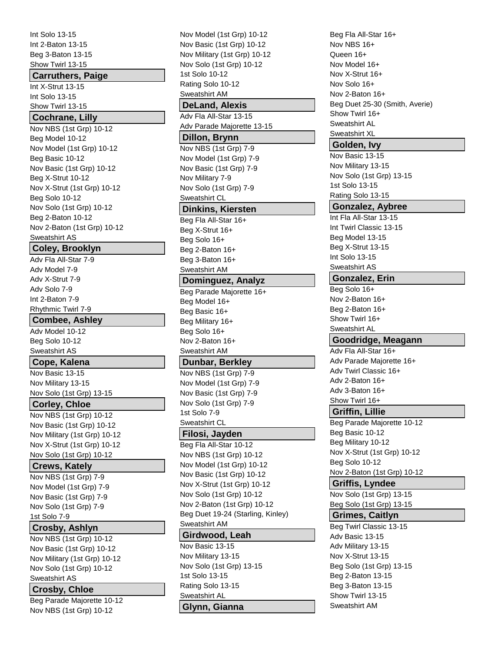Int Solo 13-15 Int 2-Baton 13-15 Beg 3-Baton 13-15 Show Twirl 13-15

#### **Carruthers, Paige**

Int X-Strut 13-15 Int Solo 13-15 Show Twirl 13-15

### **Cochrane, Lilly**

Nov NBS (1st Grp) 10-12 Beg Model 10-12 Nov Model (1st Grp) 10-12 Beg Basic 10-12 Nov Basic (1st Grp) 10-12 Beg X-Strut 10-12 Nov X-Strut (1st Grp) 10-12 Beg Solo 10-12 Nov Solo (1st Grp) 10-12 Beg 2-Baton 10-12 Nov 2-Baton (1st Grp) 10-12 Sweatshirt AS

# **Coley, Brooklyn**

Adv Fla All-Star 7-9 Adv Model 7-9 Adv X-Strut 7-9 Adv Solo 7-9 Int 2-Baton 7-9 Rhythmic Twirl 7-9

# **Combee, Ashley**

Adv Model 10-12 Beg Solo 10-12 Sweatshirt AS

### **Cope, Kalena**

Nov Basic 13-15 Nov Military 13-15 Nov Solo (1st Grp) 13-15

# **Corley, Chloe**

Nov NBS (1st Grp) 10-12 Nov Basic (1st Grp) 10-12 Nov Military (1st Grp) 10-12 Nov X-Strut (1st Grp) 10-12 Nov Solo (1st Grp) 10-12

# **Crews, Kately**

Nov NBS (1st Grp) 7-9 Nov Model (1st Grp) 7-9 Nov Basic (1st Grp) 7-9 Nov Solo (1st Grp) 7-9 1st Solo 7-9

# **Crosby, Ashlyn**

Nov NBS (1st Grp) 10-12 Nov Basic (1st Grp) 10-12 Nov Military (1st Grp) 10-12 Nov Solo (1st Grp) 10-12 Sweatshirt AS

# **Crosby, Chloe**

Beg Parade Majorette 10-12 Nov NBS (1st Grp) 10-12

Nov Model (1st Grp) 10-12 Nov Basic (1st Grp) 10-12 Nov Military (1st Grp) 10-12 Nov Solo (1st Grp) 10-12 1st Solo 10-12 Rating Solo 10-12 Sweatshirt AM **DeLand, Alexis** Adv Fla All-Star 13-15 Adv Parade Majorette 13-15 **Dillon, Brynn** Nov NBS (1st Grp) 7-9 Nov Model (1st Grp) 7-9 Nov Basic (1st Grp) 7-9 Nov Military 7-9 Nov Solo (1st Grp) 7-9 Sweatshirt CL **Dinkins, Kiersten** Beg Fla All-Star 16+ Beg X-Strut 16+ Beg Solo 16+ Beg 2-Baton 16+ Beg 3-Baton 16+ Sweatshirt AM **Dominguez, Analyz** Beg Parade Majorette 16+ Beg Model 16+ Beg Basic 16+ Beg Military 16+ Beg Solo 16+ Nov 2-Baton 16+ Sweatshirt AM **Dunbar, Berkley** Nov NBS (1st Grp) 7-9 Nov Model (1st Grp) 7-9 Nov Basic (1st Grp) 7-9 Nov Solo (1st Grp) 7-9 1st Solo 7-9 Sweatshirt CL **Filosi, Jayden** Beg Fla All-Star 10-12 Nov NBS (1st Grp) 10-12 Nov Model (1st Grp) 10-12 Nov Basic (1st Grp) 10-12 Nov X-Strut (1st Grp) 10-12 Nov Solo (1st Grp) 10-12 Nov 2-Baton (1st Grp) 10-12 Beg Duet 19-24 (Starling, Kinley) Sweatshirt AM **Girdwood, Leah** Nov Basic 13-15 Nov Military 13-15 Nov Solo (1st Grp) 13-15 1st Solo 13-15 Rating Solo 13-15 Sweatshirt AL **Glynn, Gianna**

Beg Fla All-Star 16+ Nov NBS 16+ Queen 16+ Nov Model 16+ Nov X-Strut 16+ Nov Solo 16+ Nov 2-Baton 16+ Beg Duet 25-30 (Smith, Averie) Show Twirl 16+ Sweatshirt AL Sweatshirt XL **Golden, Ivy**

Nov Basic 13-15 Nov Military 13-15 Nov Solo (1st Grp) 13-15 1st Solo 13-15 Rating Solo 13-15

# **Gonzalez, Aybree**

Int Fla All-Star 13-15 Int Twirl Classic 13-15 Beg Model 13-15 Beg X-Strut 13-15 Int Solo 13-15 Sweatshirt AS

# **Gonzalez, Erin**

Beg Solo 16+ Nov 2-Baton 16+ Beg 2-Baton 16+ Show Twirl 16+ Sweatshirt AL

# **Goodridge, Meagann**

Adv Fla All-Star 16+ Adv Parade Majorette 16+ Adv Twirl Classic 16+ Adv 2-Baton 16+ Adv 3-Baton 16+ Show Twirl 16+

# **Griffin, Lillie**

Beg Parade Majorette 10-12 Beg Basic 10-12 Beg Military 10-12 Nov X-Strut (1st Grp) 10-12 Beg Solo 10-12 Nov 2-Baton (1st Grp) 10-12

# **Griffis, Lyndee**

Nov Solo (1st Grp) 13-15 Beg Solo (1st Grp) 13-15

# **Grimes, Caitlyn**

Beg Twirl Classic 13-15 Adv Basic 13-15 Adv Military 13-15 Nov X-Strut 13-15 Beg Solo (1st Grp) 13-15 Beg 2-Baton 13-15 Beg 3-Baton 13-15 Show Twirl 13-15 Sweatshirt AM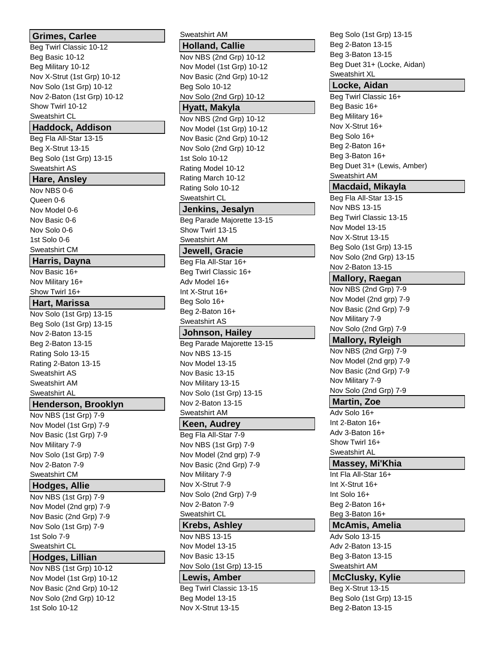# **Grimes, Carlee** Beg Twirl Classic 10-12 Beg Basic 10-12 Beg Military 10-12 Nov X-Strut (1st Grp) 10-12 Nov Solo (1st Grp) 10-12 Nov 2-Baton (1st Grp) 10-12 Show Twirl 10-12 Sweatshirt CL **Haddock, Addison** Beg Fla All-Star 13-15 Beg X-Strut 13-15 Beg Solo (1st Grp) 13-15 Sweatshirt AS **Hare, Ansley** Nov NBS 0-6 Queen 0-6 Nov Model 0-6 Nov Basic 0-6 Nov Solo 0-6 1st Solo 0-6 Sweatshirt CM **Harris, Dayna** Nov Basic 16+ Nov Military 16+ Show Twirl 16+ **Hart, Marissa** Nov Solo (1st Grp) 13-15 Beg Solo (1st Grp) 13-15 Nov 2-Baton 13-15 Beg 2-Baton 13-15 Rating Solo 13-15 Rating 2-Baton 13-15 Sweatshirt AS Sweatshirt AM Sweatshirt AL **Henderson, Brooklyn** Nov NBS (1st Grp) 7-9 Nov Model (1st Grp) 7-9 Nov Basic (1st Grp) 7-9 Nov Military 7-9 Nov Solo (1st Grp) 7-9 Nov 2-Baton 7-9 Sweatshirt CM **Hodges, Allie** Nov NBS (1st Grp) 7-9 Nov Model (2nd grp) 7-9 Nov Basic (2nd Grp) 7-9 Nov Solo (1st Grp) 7-9 1st Solo 7-9 Sweatshirt CL **Hodges, Lillian** Nov NBS (1st Grp) 10-12 Nov Model (1st Grp) 10-12 Nov Basic (2nd Grp) 10-12 Nov Solo (2nd Grp) 10-12 1st Solo 10-12

Sweatshirt AM **Holland, Callie** Nov NBS (2nd Grp) 10-12 Nov Model (1st Grp) 10-12 Nov Basic (2nd Grp) 10-12 Beg Solo 10-12 Nov Solo (2nd Grp) 10-12 **Hyatt, Makyla** Nov NBS (2nd Grp) 10-12 Nov Model (1st Grp) 10-12 Nov Basic (2nd Grp) 10-12 Nov Solo (2nd Grp) 10-12 1st Solo 10-12 Rating Model 10-12 Rating March 10-12 Rating Solo 10-12 Sweatshirt CL **Jenkins, Jesalyn** Beg Parade Majorette 13-15 Show Twirl 13-15 Sweatshirt AM **Jewell, Gracie** Beg Fla All-Star 16+ Beg Twirl Classic 16+ Adv Model 16+ Int X-Strut 16+ Beg Solo 16+ Beg 2-Baton 16+ Sweatshirt AS **Johnson, Hailey** Beg Parade Majorette 13-15 Nov NBS 13-15 Nov Model 13-15 Nov Basic 13-15 Nov Military 13-15 Nov Solo (1st Grp) 13-15 Nov 2-Baton 13-15 Sweatshirt AM **Keen, Audrey** Beg Fla All-Star 7-9 Nov NBS (1st Grp) 7-9 Nov Model (2nd grp) 7-9 Nov Basic (2nd Grp) 7-9 Nov Military 7-9 Nov X-Strut 7-9 Nov Solo (2nd Grp) 7-9 Nov 2-Baton 7-9 Sweatshirt CL **Krebs, Ashley** Nov NBS 13-15 Nov Model 13-15 Nov Basic 13-15 Nov Solo (1st Grp) 13-15 **Lewis, Amber** Beg Twirl Classic 13-15 Beg Model 13-15

Nov X-Strut 13-15

Beg Solo (1st Grp) 13-15 Beg 2-Baton 13-15 Beg 3-Baton 13-15 Beg Duet 31+ (Locke, Aidan) Sweatshirt XL **Locke, Aidan** Beg Twirl Classic 16+ Beg Basic 16+ Beg Military 16+ Nov X-Strut 16+ Beg Solo 16+ Beg 2-Baton 16+ Beg 3-Baton 16+ Beg Duet 31+ (Lewis, Amber) Sweatshirt AM **Macdaid, Mikayla** Beg Fla All-Star 13-15 Nov NBS 13-15 Beg Twirl Classic 13-15 Nov Model 13-15 Nov X-Strut 13-15 Beg Solo (1st Grp) 13-15 Nov Solo (2nd Grp) 13-15 Nov 2-Baton 13-15 **Mallory, Raegan** Nov NBS (2nd Grp) 7-9 Nov Model (2nd grp) 7-9 Nov Basic (2nd Grp) 7-9 Nov Military 7-9 Nov Solo (2nd Grp) 7-9 **Mallory, Ryleigh** Nov NBS (2nd Grp) 7-9 Nov Model (2nd grp) 7-9 Nov Basic (2nd Grp) 7-9 Nov Military 7-9 Nov Solo (2nd Grp) 7-9 **Martin, Zoe** Adv Solo 16+ Int 2-Baton 16+ Adv 3-Baton 16+ Show Twirl 16+ Sweatshirt AL **Massey, Mi'Khia** Int Fla All-Star 16+ Int X-Strut 16+ Int Solo 16+ Beg 2-Baton 16+ Beg 3-Baton 16+ **McAmis, Amelia** Adv Solo 13-15 Adv 2-Baton 13-15 Beg 3-Baton 13-15 Sweatshirt AM **McClusky, Kylie** Beg X-Strut 13-15 Beg Solo (1st Grp) 13-15

Beg 2-Baton 13-15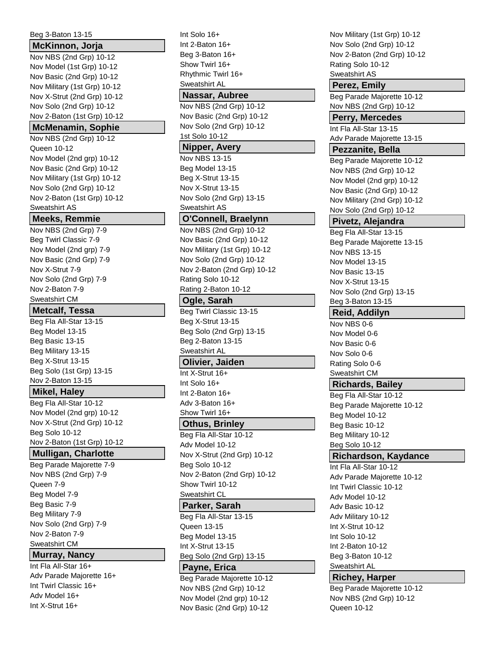| Beg 3-Baton 13-15            |
|------------------------------|
| McKinnon, Jorja              |
| Nov NBS (2nd Grp) 10-12      |
| Nov Model (1st Grp) 10-12    |
| Nov Basic (2nd Grp) 10-12    |
| Nov Military (1st Grp) 10-12 |
| Nov X-Strut (2nd Grp) 10-12  |
| Nov Solo (2nd Grp) 10-12     |
| Nov 2-Baton (1st Grp) 10-12  |
| <b>McMenamin, Sophie</b>     |
| Nov NBS (2nd Grp) 10-12      |
| Queen 10-12                  |
| Nov Model (2nd grp) 10-12    |
| Nov Basic (2nd Grp) 10-12    |
| Nov Military (1st Grp) 10-12 |
| Nov Solo (2nd Grp) 10-12     |
| Nov 2-Baton (1st Grp) 10-12  |
| Sweatshirt AS                |
| <b>Meeks, Remmie</b>         |
| Nov NBS (2nd Grp) 7-9        |
| Beg Twirl Classic 7-9        |
| Nov Model (2nd grp) 7-9      |
| Nov Basic (2nd Grp) 7-9      |
| Nov X-Strut 7-9              |
| Nov Solo (2nd Grp) 7-9       |
| Nov 2-Baton 7-9              |
| Sweatshirt CM                |
| <b>Metcalf, Tessa</b>        |
| Beg Fla All-Star 13-15       |
| Beg Model 13-15              |
| Beg Basic 13-15              |
| Beg Military 13-15           |
| Beg X-Strut 13-15            |
| Beg Solo (1st Grp) 13-15     |
| Nov 2-Baton 13-15            |
| Mikel, Haley                 |
| Beg Fla All-Star 10-12       |
| Nov Model (2nd grp) 10-12    |
| Nov X-Strut (2nd Grp) 10-12  |
| Beg Solo 10-12               |
| Nov 2-Baton (1st Grp) 10-12  |
| <b>Mulligan, Charlotte</b>   |
| Beg Parade Majorette 7-9     |
| Nov NBS (2nd Grp) 7-9        |
| Queen 7-9                    |
| Beg Model 7-9                |
| Beg Basic 7-9                |
| Beg Military 7-9             |
| Nov Solo (2nd Grp) 7-9       |
| Nov 2-Baton 7-9              |
| Sweatshirt CM                |
| <b>Murray, Nancy</b>         |
| Int Fla All-Star 16+         |
| Adv Parade Majorette 16+     |
| Int Twirl Classic 16+        |
| Adv Model 16+                |
| Int X-Strut 16+              |

Int Solo 16+ Int 2-Baton 16+ Beg 3-Baton 16+ Show Twirl 16+ Rhythmic Twirl 16+ Sweatshirt AL **Nassar, Aubree** Nov NBS (2nd Grp) 10-12 Nov Basic (2nd Grp) 10-12 Nov Solo (2nd Grp) 10-12 1st Solo 10-12 **Nipper, Avery** Nov NBS 13-15 Beg Model 13-15 Beg X-Strut 13-15 Nov X-Strut 13-15 Nov Solo (2nd Grp) 13-15 Sweatshirt AS **O'Connell, Braelynn** Nov NBS (2nd Grp) 10-12 Nov Basic (2nd Grp) 10-12 Nov Military (1st Grp) 10-12 Nov Solo (2nd Grp) 10-12 Nov 2-Baton (2nd Grp) 10-12 Rating Solo 10-12 Rating 2-Baton 10-12 **Ogle, Sarah** Beg Twirl Classic 13-15 Beg X-Strut 13-15 Beg Solo (2nd Grp) 13-15 Beg 2-Baton 13-15 Sweatshirt AL **Olivier, Jaiden** Int X-Strut 16+ Int Solo 16+ Int 2-Baton 16+ Adv 3-Baton 16+ Show Twirl 16+ **Othus, Brinley** Beg Fla All-Star 10-12 Adv Model 10-12 Nov X-Strut (2nd Grp) 10-12 Beg Solo 10-12 Nov 2-Baton (2nd Grp) 10-12 Show Twirl 10-12 Sweatshirt CL **Parker, Sarah** Beg Fla All-Star 13-15 Queen 13-15 Beg Model 13-15 Int X-Strut 13-15 Beg Solo (2nd Grp) 13-15 **Payne, Erica** Beg Parade Majorette 10-12 Nov NBS (2nd Grp) 10-12 Nov Model (2nd grp) 10-12

Nov Basic (2nd Grp) 10-12

Nov Military (1st Grp) 10-12 Nov Solo (2nd Grp) 10-12 Nov 2-Baton (2nd Grp) 10-12 Rating Solo 10-12 Sweatshirt AS **Perez, Emily** Beg Parade Majorette 10-12 Nov NBS (2nd Grp) 10-12 **Perry, Mercedes** Int Fla All-Star 13-15 Adv Parade Majorette 13-15 **Pezzanite, Bella** Beg Parade Majorette 10-12 Nov NBS (2nd Grp) 10-12 Nov Model (2nd grp) 10-12 Nov Basic (2nd Grp) 10-12 Nov Military (2nd Grp) 10-12 Nov Solo (2nd Grp) 10-12 **Pivetz, Alejandra** Beg Fla All-Star 13-15 Beg Parade Majorette 13-15 Nov NBS 13-15 Nov Model 13-15 Nov Basic 13-15 Nov X-Strut 13-15 Nov Solo (2nd Grp) 13-15 Beg 3-Baton 13-15 **Reid, Addilyn** Nov NBS 0-6 Nov Model 0-6 Nov Basic 0-6 Nov Solo 0-6 Rating Solo 0-6 Sweatshirt CM **Richards, Bailey** Beg Fla All-Star 10-12 Beg Parade Majorette 10-12 Beg Model 10-12 Beg Basic 10-12 Beg Military 10-12 Beg Solo 10-12 **Richardson, Kaydance** Int Fla All-Star 10-12 Adv Parade Majorette 10-12 Int Twirl Classic 10-12 Adv Model 10-12 Adv Basic 10-12 Adv Military 10-12 Int X-Strut 10-12 Int Solo 10-12 Int 2-Baton 10-12 Beg 3-Baton 10-12 Sweatshirt AL **Richey, Harper** Beg Parade Majorette 10-12

Nov NBS (2nd Grp) 10-12

Queen 10-12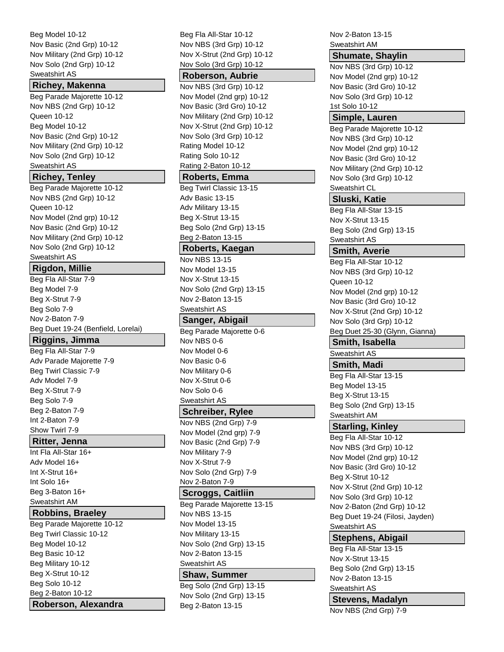Beg Model 10-12 Nov Basic (2nd Grp) 10-12 Nov Military (2nd Grp) 10-12 Nov Solo (2nd Grp) 10-12 Sweatshirt AS

### **Richey, Makenna**

Beg Parade Majorette 10-12 Nov NBS (2nd Grp) 10-12 Queen 10-12 Beg Model 10-12 Nov Basic (2nd Grp) 10-12 Nov Military (2nd Grp) 10-12 Nov Solo (2nd Grp) 10-12 Sweatshirt AS

### **Richey, Tenley**

Beg Parade Majorette 10-12 Nov NBS (2nd Grp) 10-12 Queen 10-12 Nov Model (2nd grp) 10-12 Nov Basic (2nd Grp) 10-12 Nov Military (2nd Grp) 10-12 Nov Solo (2nd Grp) 10-12 Sweatshirt AS

# **Rigdon, Millie**

Beg Fla All-Star 7-9 Beg Model 7-9 Beg X-Strut 7-9 Beg Solo 7-9 Nov 2-Baton 7-9 Beg Duet 19-24 (Benfield, Lorelai)

# **Riggins, Jimma**

Beg Fla All-Star 7-9 Adv Parade Majorette 7-9 Beg Twirl Classic 7-9 Adv Model 7-9 Beg X-Strut 7-9 Beg Solo 7-9 Beg 2-Baton 7-9 Int 2-Baton 7-9 Show Twirl 7-9

# **Ritter, Jenna**

Int Fla All-Star 16+ Adv Model 16+ Int X-Strut 16+ Int Solo 16+ Beg 3-Baton 16+ Sweatshirt AM

# **Robbins, Braeley**

Beg Parade Majorette 10-12 Beg Twirl Classic 10-12 Beg Model 10-12 Beg Basic 10-12 Beg Military 10-12 Beg X-Strut 10-12 Beg Solo 10-12 Beg 2-Baton 10-12 **Roberson, Alexandra** Beg Fla All-Star 10-12 Nov NBS (3rd Grp) 10-12 Nov X-Strut (2nd Grp) 10-12 Nov Solo (3rd Grp) 10-12

#### **Roberson, Aubrie**

Nov NBS (3rd Grp) 10-12 Nov Model (2nd grp) 10-12 Nov Basic (3rd Gro) 10-12 Nov Military (2nd Grp) 10-12 Nov X-Strut (2nd Grp) 10-12 Nov Solo (3rd Grp) 10-12 Rating Model 10-12 Rating Solo 10-12 Rating 2-Baton 10-12

# **Roberts, Emma**

Beg Twirl Classic 13-15 Adv Basic 13-15 Adv Military 13-15 Beg X-Strut 13-15 Beg Solo (2nd Grp) 13-15 Beg 2-Baton 13-15

# **Roberts, Kaegan**

Nov NBS 13-15 Nov Model 13-15 Nov X-Strut 13-15 Nov Solo (2nd Grp) 13-15 Nov 2-Baton 13-15 Sweatshirt AS

# **Sanger, Abigail**

Beg Parade Majorette 0-6 Nov NBS 0-6 Nov Model 0-6 Nov Basic 0-6 Nov Military 0-6 Nov X-Strut 0-6 Nov Solo 0-6 Sweatshirt AS

# **Schreiber, Rylee**

Nov NBS (2nd Grp) 7-9 Nov Model (2nd grp) 7-9 Nov Basic (2nd Grp) 7-9 Nov Military 7-9 Nov X-Strut 7-9 Nov Solo (2nd Grp) 7-9 Nov 2-Baton 7-9

### **Scroggs, Caitliin**

Beg Parade Majorette 13-15 Nov NBS 13-15 Nov Model 13-15 Nov Military 13-15 Nov Solo (2nd Grp) 13-15 Nov 2-Baton 13-15 Sweatshirt AS

#### **Shaw, Summer**

Beg Solo (2nd Grp) 13-15 Nov Solo (2nd Grp) 13-15 Beg 2-Baton 13-15

Nov 2-Baton 13-15 Sweatshirt AM

# **Shumate, Shaylin**

Nov NBS (3rd Grp) 10-12 Nov Model (2nd grp) 10-12 Nov Basic (3rd Gro) 10-12 Nov Solo (3rd Grp) 10-12 1st Solo 10-12

### **Simple, Lauren**

Beg Parade Majorette 10-12 Nov NBS (3rd Grp) 10-12 Nov Model (2nd grp) 10-12 Nov Basic (3rd Gro) 10-12 Nov Military (2nd Grp) 10-12 Nov Solo (3rd Grp) 10-12 Sweatshirt CL

### **Sluski, Katie**

Beg Fla All-Star 13-15 Nov X-Strut 13-15 Beg Solo (2nd Grp) 13-15 Sweatshirt AS

# **Smith, Averie**

Beg Fla All-Star 10-12 Nov NBS (3rd Grp) 10-12 Queen 10-12 Nov Model (2nd grp) 10-12 Nov Basic (3rd Gro) 10-12 Nov X-Strut (2nd Grp) 10-12 Nov Solo (3rd Grp) 10-12 Beg Duet 25-30 (Glynn, Gianna)

#### **Smith, Isabella**

Sweatshirt AS

#### **Smith, Madi**

Beg Fla All-Star 13-15 Beg Model 13-15 Beg X-Strut 13-15 Beg Solo (2nd Grp) 13-15

# Sweatshirt AM

**Starling, Kinley** Beg Fla All-Star 10-12 Nov NBS (3rd Grp) 10-12 Nov Model (2nd grp) 10-12 Nov Basic (3rd Gro) 10-12 Beg X-Strut 10-12 Nov X-Strut (2nd Grp) 10-12 Nov Solo (3rd Grp) 10-12 Nov 2-Baton (2nd Grp) 10-12 Beg Duet 19-24 (Filosi, Jayden) Sweatshirt AS

### **Stephens, Abigail**

Beg Fla All-Star 13-15 Nov X-Strut 13-15 Beg Solo (2nd Grp) 13-15 Nov 2-Baton 13-15 Sweatshirt AS

# **Stevens, Madalyn**

Nov NBS (2nd Grp) 7-9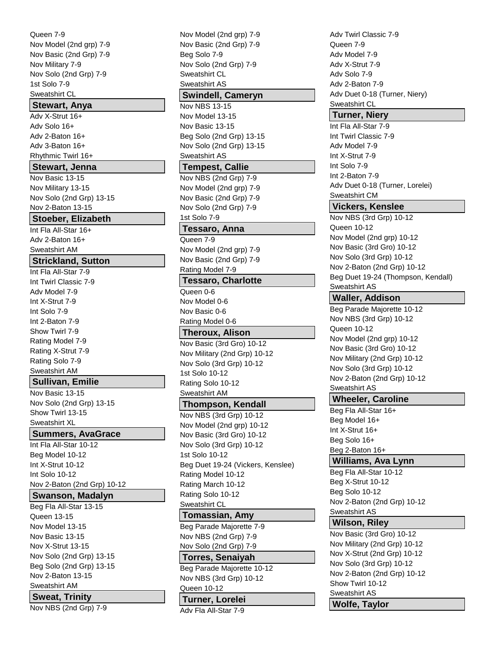Queen 7-9 Nov Model (2nd grp) 7-9 Nov Basic (2nd Grp) 7-9 Nov Military 7-9 Nov Solo (2nd Grp) 7-9 1st Solo 7-9 Sweatshirt CL

# **Stewart, Anya**

Adv X-Strut 16+ Adv Solo 16+ Adv 2-Baton 16+ Adv 3-Baton 16+ Rhythmic Twirl 16+

#### **Stewart, Jenna**

Nov Basic 13-15 Nov Military 13-15 Nov Solo (2nd Grp) 13-15 Nov 2-Baton 13-15

### **Stoeber, Elizabeth**

Int Fla All-Star 16+ Adv 2-Baton 16+ Sweatshirt AM

# **Strickland, Sutton**

Int Fla All-Star 7-9 Int Twirl Classic 7-9 Adv Model 7-9 Int X-Strut 7-9 Int Solo 7-9 Int 2-Baton 7-9 Show Twirl 7-9 Rating Model 7-9 Rating X-Strut 7-9 Rating Solo 7-9 Sweatshirt AM

# **Sullivan, Emilie**

Nov Basic 13-15 Nov Solo (2nd Grp) 13-15 Show Twirl 13-15 Sweatshirt XL

# **Summers, AvaGrace**

Int Fla All-Star 10-12 Beg Model 10-12 Int X-Strut 10-12 Int Solo 10-12 Nov 2-Baton (2nd Grp) 10-12

# **Swanson, Madalyn**

Beg Fla All-Star 13-15 Queen 13-15 Nov Model 13-15 Nov Basic 13-15 Nov X-Strut 13-15 Nov Solo (2nd Grp) 13-15 Beg Solo (2nd Grp) 13-15 Nov 2-Baton 13-15 Sweatshirt AM

# **Sweat, Trinity**

Nov NBS (2nd Grp) 7-9

Nov Model (2nd grp) 7-9 Nov Basic (2nd Grp) 7-9 Beg Solo 7-9 Nov Solo (2nd Grp) 7-9 Sweatshirt CL Sweatshirt AS **Swindell, Cameryn** Nov NBS 13-15 Nov Model 13-15 Nov Basic 13-15 Beg Solo (2nd Grp) 13-15 Nov Solo (2nd Grp) 13-15 Sweatshirt AS **Tempest, Callie** Nov NBS (2nd Grp) 7-9 Nov Model (2nd grp) 7-9 Nov Basic (2nd Grp) 7-9 Nov Solo (2nd Grp) 7-9 1st Solo 7-9 **Tessaro, Anna** Queen 7-9 Nov Model (2nd grp) 7-9 Nov Basic (2nd Grp) 7-9 Rating Model 7-9 **Tessaro, Charlotte** Queen 0-6 Nov Model 0-6 Nov Basic 0-6 Rating Model 0-6 **Theroux, Alison** Nov Basic (3rd Gro) 10-12 Nov Military (2nd Grp) 10-12 Nov Solo (3rd Grp) 10-12 1st Solo 10-12 Rating Solo 10-12 Sweatshirt AM **Thompson, Kendall** Nov NBS (3rd Grp) 10-12 Nov Model (2nd grp) 10-12 Nov Basic (3rd Gro) 10-12 Nov Solo (3rd Grp) 10-12 1st Solo 10-12 Beg Duet 19-24 (Vickers, Kenslee) Rating Model 10-12 Rating March 10-12 Rating Solo 10-12 Sweatshirt CL **Tomassian, Amy** Beg Parade Majorette 7-9 Nov NBS (2nd Grp) 7-9 Nov Solo (2nd Grp) 7-9 **Torres, Senaiyah** Beg Parade Majorette 10-12 Nov NBS (3rd Grp) 10-12

# Queen 10-12

**Turner, Lorelei**

Adv Fla All-Star 7-9

Adv Twirl Classic 7-9 Queen 7-9 Adv Model 7-9 Adv X-Strut 7-9 Adv Solo 7-9 Adv 2-Baton 7-9 Adv Duet 0-18 (Turner, Niery) Sweatshirt CL

# **Turner, Niery**

Int Fla All-Star 7-9 Int Twirl Classic 7-9 Adv Model 7-9 Int X-Strut 7-9 Int Solo 7-9 Int 2-Baton 7-9 Adv Duet 0-18 (Turner, Lorelei) Sweatshirt CM

# **Vickers, Kenslee**

Nov NBS (3rd Grp) 10-12 Queen 10-12 Nov Model (2nd grp) 10-12 Nov Basic (3rd Gro) 10-12 Nov Solo (3rd Grp) 10-12 Nov 2-Baton (2nd Grp) 10-12 Beg Duet 19-24 (Thompson, Kendall) Sweatshirt AS

# **Waller, Addison**

Beg Parade Majorette 10-12 Nov NBS (3rd Grp) 10-12 Queen 10-12 Nov Model (2nd grp) 10-12 Nov Basic (3rd Gro) 10-12 Nov Military (2nd Grp) 10-12 Nov Solo (3rd Grp) 10-12 Nov 2-Baton (2nd Grp) 10-12 Sweatshirt AS

# **Wheeler, Caroline**

Beg Fla All-Star 16+ Beg Model 16+ Int X-Strut 16+ Beg Solo 16+ Beg 2-Baton 16+

# **Williams, Ava Lynn**

Beg Fla All-Star 10-12 Beg X-Strut 10-12 Beg Solo 10-12 Nov 2-Baton (2nd Grp) 10-12 Sweatshirt AS

# **Wilson, Riley**

Nov Basic (3rd Gro) 10-12 Nov Military (2nd Grp) 10-12 Nov X-Strut (2nd Grp) 10-12 Nov Solo (3rd Grp) 10-12 Nov 2-Baton (2nd Grp) 10-12 Show Twirl 10-12 Sweatshirt AS **Wolfe, Taylor**